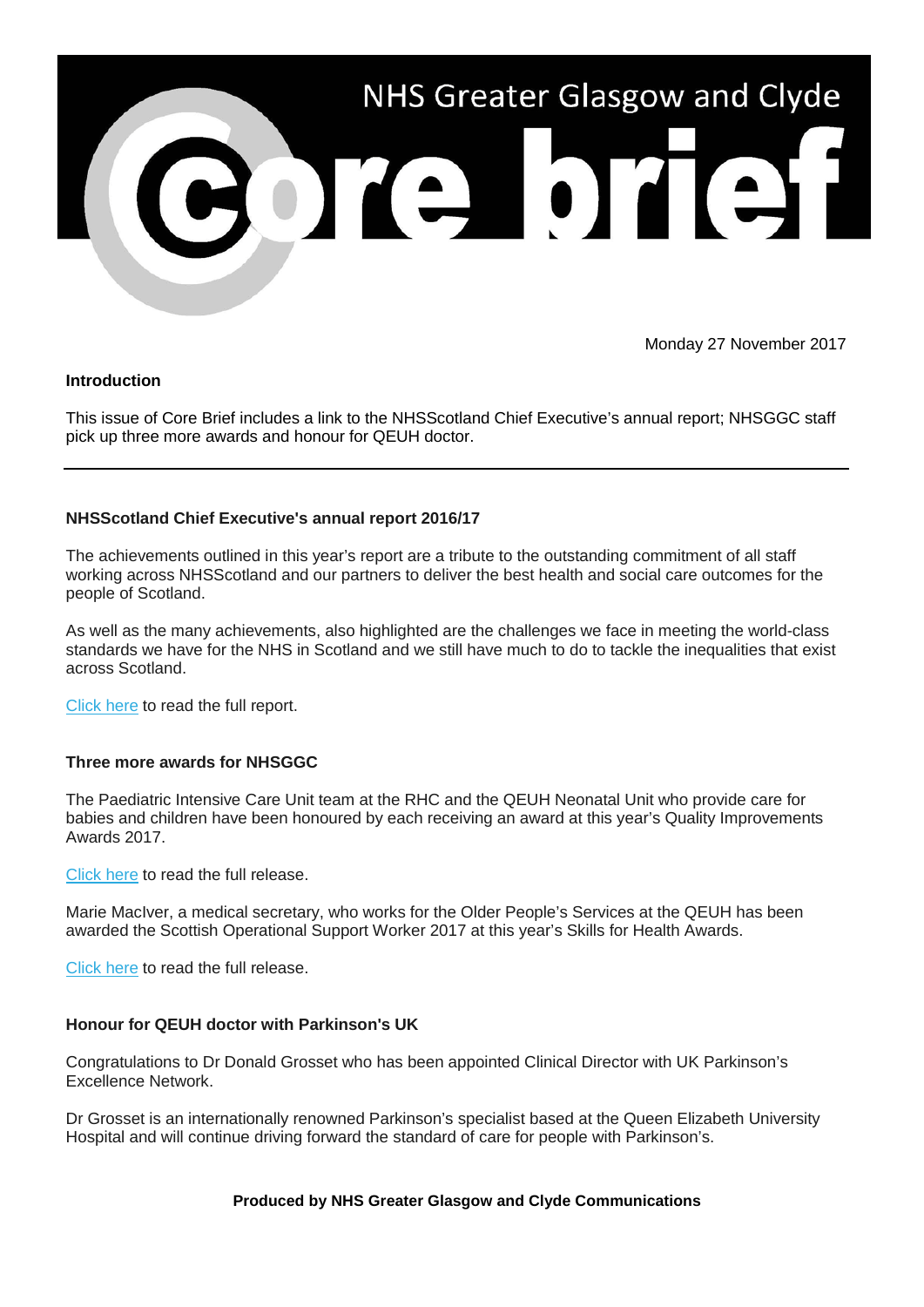

Monday 27 November 2017

## **Introduction**

This issue of Core Brief includes a link to the NHSScotland Chief Executive's annual report; NHSGGC staff pick up three more awards and honour for QEUH doctor.

# **NHSScotland Chief Executive's annual report 2016/17**

The achievements outlined in this year's report are a tribute to the outstanding commitment of all staff working across NHSScotland and our partners to deliver the best health and social care outcomes for the people of Scotland.

As well as the many achievements, also highlighted are the challenges we face in meeting the world-class standards we have for the NHS in Scotland and we still have much to do to tackle the inequalities that exist across Scotland.

[Click here](https://nhsggc.us12.list-manage.com/track/click?u=0f385b5aea37eaf0213bd19fb&id=fcb30b9e55&e=5af5e1832c) to read the full report.

## **Three more awards for NHSGGC**

The Paediatric Intensive Care Unit team at the RHC and the QEUH Neonatal Unit who provide care for babies and children have been honoured by each receiving an award at this year's Quality Improvements Awards 2017.

[Click here](https://nhsggc.us12.list-manage.com/track/click?u=0f385b5aea37eaf0213bd19fb&id=98ebb3462f&e=5af5e1832c) to read the full release.

Marie MacIver, a medical secretary, who works for the Older People's Services at the QEUH has been awarded the Scottish Operational Support Worker 2017 at this year's Skills for Health Awards.

[Click here](https://nhsggc.us12.list-manage.com/track/click?u=0f385b5aea37eaf0213bd19fb&id=b0f1e390b1&e=5af5e1832c) to read the full release.

## **Honour for QEUH doctor with Parkinson's UK**

Congratulations to Dr Donald Grosset who has been appointed Clinical Director with UK Parkinson's Excellence Network.

Dr Grosset is an internationally renowned Parkinson's specialist based at the Queen Elizabeth University Hospital and will continue driving forward the standard of care for people with Parkinson's.

### **Produced by NHS Greater Glasgow and Clyde Communications**